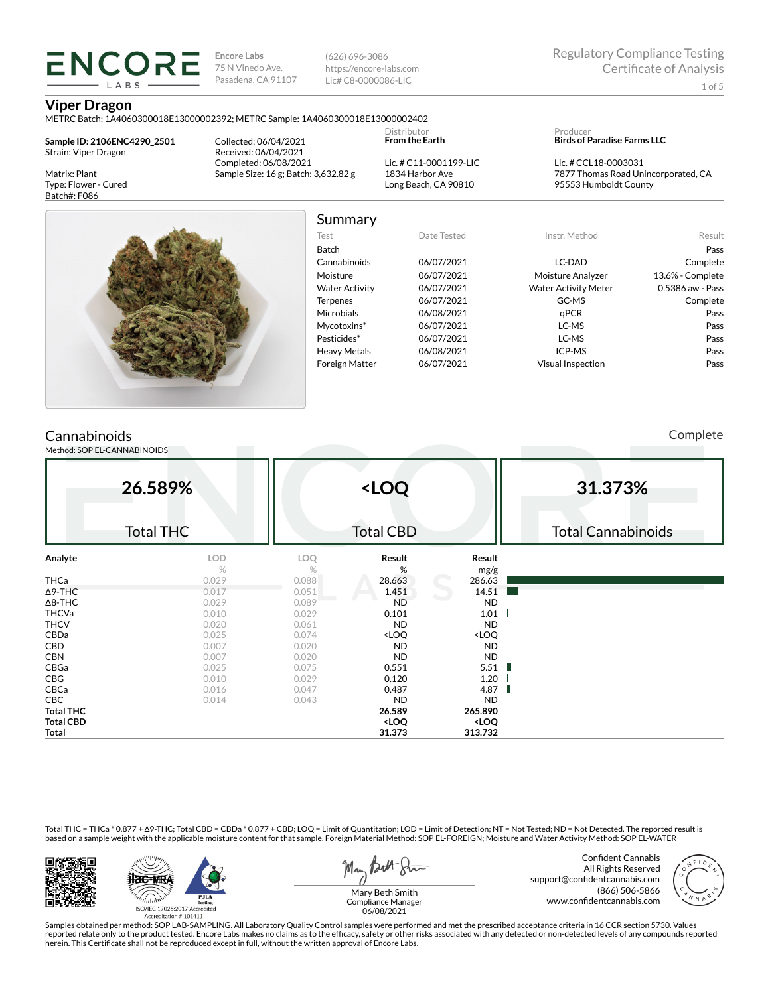(626) 696-3086 https://encore-labs.com Lic# C8-0000086-LIC

### **Viper Dragon**

METRC Batch: 1A4060300018E13000002392; METRC Sample: 1A4060300018E13000002402

**Sample ID: 2106ENC4290\_2501** Strain: Viper Dragon

**ENCORE** LARS

Matrix: Plant Type: Flower - Cured Batch#: F086

Collected: 06/04/2021 Received: 06/04/2021 Completed: 06/08/2021 Sample Size: 16 g; Batch: 3,632.82 g

Lic. # C11-0001199-LIC 1834 Harbor Ave Long Beach, CA 90810

Distributor **From the Earth**

#### Producer **Birds of Paradise Farms LLC**

Lic. # CCL18-0003031 7877 Thomas Road Unincorporated, CA 95553 Humboldt County



# Summary

Foreign Matter 06/07/2021 Visual Inspection Pass

| Date Tested |  |
|-------------|--|
| 06/07/2021  |  |
| 06/07/2021  |  |
| 06/07/2021  |  |
| 06/07/2021  |  |
| 06/08/2021  |  |
| 06/07/2021  |  |
| 06/07/2021  |  |
| 06/08/2021  |  |
|             |  |

#### Test Date Tested Instr. Method Result Batch Pass Cannabinoids 06/07/2021 LC-DAD Complete Moisture 06/07/2021 Moisture Analyzer 13.6% - Complete Water Activity  $06/07/2021$  Water Activity Meter 0.5386 aw - Pass Terpenes 06/07/2021 GC-MS Complete Microbials 06/08/2021 qPCR Pass Mycotoxins\* 06/07/2021 LC-MS Pass Pesticides\* 06/07/2021 LC-MS Pass Heavy Metals  $06/08/2021$  ICP-MS Pass

## **Cannabinoids**

Method: SOP EL-CANNABINOIDS

Complete

|                  | 26.589%<br><b>Total THC</b> |       | <loq<br><b>Total CBD</b></loq<br>                        |                              | 31.373%<br><b>Total Cannabinoids</b> |
|------------------|-----------------------------|-------|----------------------------------------------------------|------------------------------|--------------------------------------|
| Analyte          | LOD                         | LOQ   | Result                                                   | Result                       |                                      |
|                  | $\%$                        | %     | %                                                        | mg/g                         |                                      |
| <b>THCa</b>      | 0.029                       | 0.088 | 28.663                                                   | 286.63                       |                                      |
| $\Delta$ 9-THC   | 0.017                       | 0.051 | 1.451                                                    | 14.51                        |                                      |
| $\Delta$ 8-THC   | 0.029                       | 0.089 | <b>ND</b>                                                | <b>ND</b>                    |                                      |
| <b>THCVa</b>     | 0.010                       | 0.029 | 0.101                                                    | 1.01                         |                                      |
| <b>THCV</b>      | 0.020                       | 0.061 | <b>ND</b>                                                | <b>ND</b>                    |                                      |
| CBDa             | 0.025                       | 0.074 | <loq< td=""><td><loq< td=""><td></td></loq<></td></loq<> | <loq< td=""><td></td></loq<> |                                      |
| CBD              | 0.007                       | 0.020 | <b>ND</b>                                                | <b>ND</b>                    |                                      |
| <b>CBN</b>       | 0.007                       | 0.020 | <b>ND</b>                                                | <b>ND</b>                    |                                      |
| CBGa             | 0.025                       | 0.075 | 0.551                                                    | 5.51                         |                                      |
| CBG              | 0.010                       | 0.029 | 0.120                                                    | 1.20                         |                                      |
| CBCa             | 0.016                       | 0.047 | 0.487                                                    | 4.87                         |                                      |
| CBC              | 0.014                       | 0.043 | <b>ND</b>                                                | <b>ND</b>                    |                                      |
| <b>Total THC</b> |                             |       | 26.589                                                   | 265.890                      |                                      |
| <b>Total CBD</b> |                             |       | <loq< td=""><td><loq< td=""><td></td></loq<></td></loq<> | <loq< td=""><td></td></loq<> |                                      |
| Total            |                             |       | 31.373                                                   | 313.732                      |                                      |

Total THC = THCa \* 0.877 + ∆9-THC; Total CBD = CBDa \* 0.877 + CBD; LOQ = Limit of Quantitation; LOD = Limit of Detection; NT = Not Tested; ND = Not Detected. The reported result is based on a sample weight with the applicable moisture content for that sample. Foreign Material Method: SOP EL-FOREIGN; Moisture and Water Activity Method: SOP EL-WATER





May Both Stre

Confident Cannabis All Rights Reserved support@confidentcannabis.com (866) 506-5866 www.confidentcannabis.com



Mary Beth Smith Compliance Manager 06/08/2021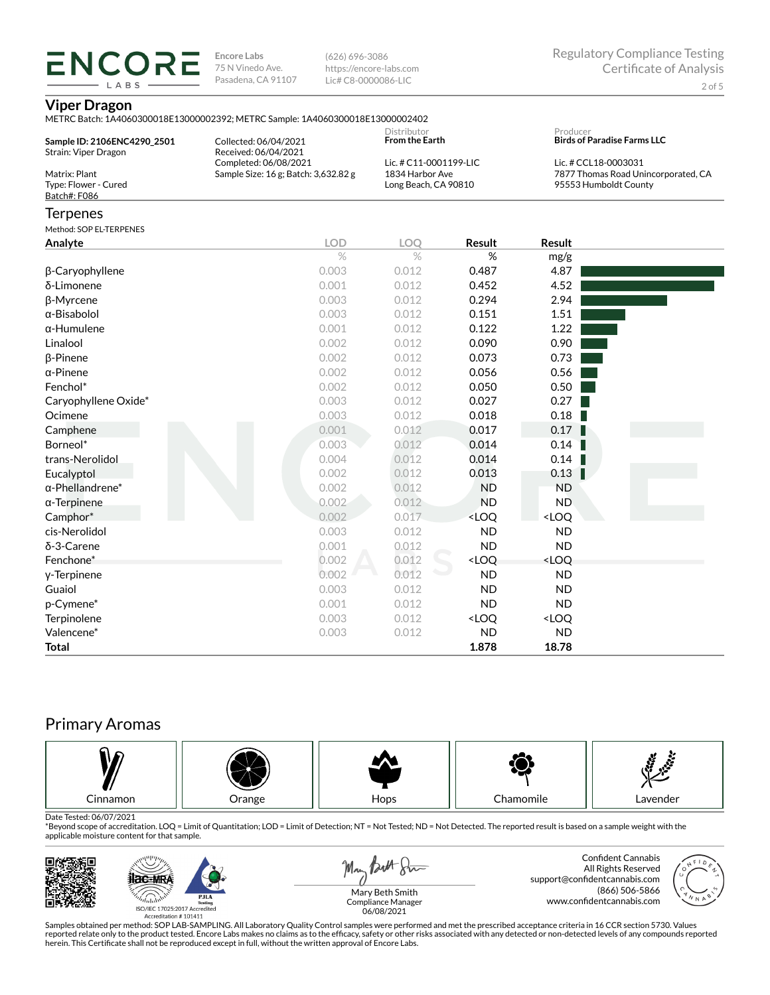(626) 696-3086 https://encore-labs.com Lic# C8-0000086-LIC

#### **Viper Dragon**

**ENCORE** LABS

|                             | METRC Batch: 1A4060300018E13000002392; METRC Sample: 1A4060300018E13000002402 |                                      |                                                          |                                                             |                                    |  |  |
|-----------------------------|-------------------------------------------------------------------------------|--------------------------------------|----------------------------------------------------------|-------------------------------------------------------------|------------------------------------|--|--|
| Sample ID: 2106ENC4290_2501 | Collected: 06/04/2021                                                         | Distributor<br><b>From the Earth</b> |                                                          | Producer                                                    | <b>Birds of Paradise Farms LLC</b> |  |  |
| Strain: Viper Dragon        | Received: 06/04/2021                                                          | Lic. # C11-0001199-LIC               |                                                          | Lic. # CCL18-0003031<br>7877 Thomas Road Unincorporated, CA |                                    |  |  |
| Matrix: Plant               | Completed: 06/08/2021<br>Sample Size: 16 g; Batch: 3,632.82 g                 | 1834 Harbor Ave                      |                                                          |                                                             |                                    |  |  |
| Type: Flower - Cured        |                                                                               |                                      | Long Beach, CA 90810                                     |                                                             | 95553 Humboldt County              |  |  |
| Batch#: F086                |                                                                               |                                      |                                                          |                                                             |                                    |  |  |
| <b>Terpenes</b>             |                                                                               |                                      |                                                          |                                                             |                                    |  |  |
| Method: SOP EL-TERPENES     |                                                                               |                                      |                                                          |                                                             |                                    |  |  |
| Analyte                     | <b>LOD</b>                                                                    | <b>LOO</b>                           | <b>Result</b>                                            | Result                                                      |                                    |  |  |
|                             | $\%$                                                                          | $\%$                                 | %                                                        | mg/g                                                        |                                    |  |  |
| β-Caryophyllene             | 0.003                                                                         | 0.012                                | 0.487                                                    | 4.87                                                        |                                    |  |  |
| δ-Limonene                  | 0.001                                                                         | 0.012                                | 0.452                                                    | 4.52                                                        |                                    |  |  |
| β-Myrcene                   | 0.003                                                                         | 0.012                                | 0.294                                                    | 2.94                                                        |                                    |  |  |
| $\alpha$ -Bisabolol         | 0.003                                                                         | 0.012                                | 0.151                                                    | 1.51                                                        |                                    |  |  |
| $\alpha$ -Humulene          | 0.001                                                                         | 0.012                                | 0.122                                                    | 1.22                                                        |                                    |  |  |
| Linalool                    | 0.002                                                                         | 0.012                                | 0.090                                                    | 0.90                                                        |                                    |  |  |
| $\beta$ -Pinene             | 0.002                                                                         | 0.012                                | 0.073                                                    | 0.73                                                        |                                    |  |  |
| $\alpha$ -Pinene            | 0.002                                                                         | 0.012                                | 0.056                                                    | 0.56                                                        |                                    |  |  |
| Fenchol*                    | 0.002                                                                         | 0.012                                | 0.050                                                    | 0.50                                                        |                                    |  |  |
| Caryophyllene Oxide*        | 0.003                                                                         | 0.012                                | 0.027                                                    | 0.27                                                        |                                    |  |  |
| Ocimene                     | 0.003                                                                         | 0.012                                | 0.018                                                    | 0.18                                                        |                                    |  |  |
| Camphene                    | 0.001                                                                         | 0.012                                | 0.017                                                    | 0.17                                                        |                                    |  |  |
| Borneol*                    | 0.003                                                                         | 0.012                                | 0.014                                                    | 0.14                                                        |                                    |  |  |
| trans-Nerolidol             | 0.004                                                                         | 0.012                                | 0.014                                                    | 0.14                                                        |                                    |  |  |
| Eucalyptol                  | 0.002                                                                         | 0.012                                | 0.013                                                    | 0.13                                                        |                                    |  |  |
| $\alpha$ -Phellandrene*     | 0.002                                                                         | 0.012                                | <b>ND</b>                                                | <b>ND</b>                                                   |                                    |  |  |
| $\alpha$ -Terpinene         | 0.002                                                                         | 0.012                                | <b>ND</b>                                                | <b>ND</b>                                                   |                                    |  |  |
| Camphor*                    | 0.002                                                                         | 0.017                                | <loq< td=""><td><loq< td=""><td></td></loq<></td></loq<> | <loq< td=""><td></td></loq<>                                |                                    |  |  |
| cis-Nerolidol               | 0.003                                                                         | 0.012                                | <b>ND</b>                                                | <b>ND</b>                                                   |                                    |  |  |
| δ-3-Carene                  | 0.001                                                                         | 0.012                                | <b>ND</b>                                                | <b>ND</b>                                                   |                                    |  |  |
| Fenchone*                   | 0.002                                                                         | 0.012                                | <loq< td=""><td><loq< td=""><td></td></loq<></td></loq<> | <loq< td=""><td></td></loq<>                                |                                    |  |  |
| y-Terpinene                 | 0.002                                                                         | 0.012                                | <b>ND</b>                                                | <b>ND</b>                                                   |                                    |  |  |
| Guaiol                      | 0.003                                                                         | 0.012                                | <b>ND</b>                                                | <b>ND</b>                                                   |                                    |  |  |
| p-Cymene*                   | 0.001                                                                         | 0.012                                | <b>ND</b>                                                | <b>ND</b>                                                   |                                    |  |  |
| Terpinolene                 | 0.003                                                                         | 0.012                                | <loq< td=""><td><loq< td=""><td></td></loq<></td></loq<> | <loq< td=""><td></td></loq<>                                |                                    |  |  |
| Valencene*                  | 0.003                                                                         | 0.012                                | <b>ND</b>                                                | <b>ND</b>                                                   |                                    |  |  |
| <b>Total</b>                |                                                                               |                                      | 1.878                                                    | 18.78                                                       |                                    |  |  |

# Primary Aromas



Date Tested: 06/07/2021<br>\*Beyond scope of accreditation. LOQ = Limit of Quantitation; LOD = Limit of Detection; NT = Not Tested; ND = Not Detected. The reported result is based on a sample weight with the applicable moisture content for that sample.



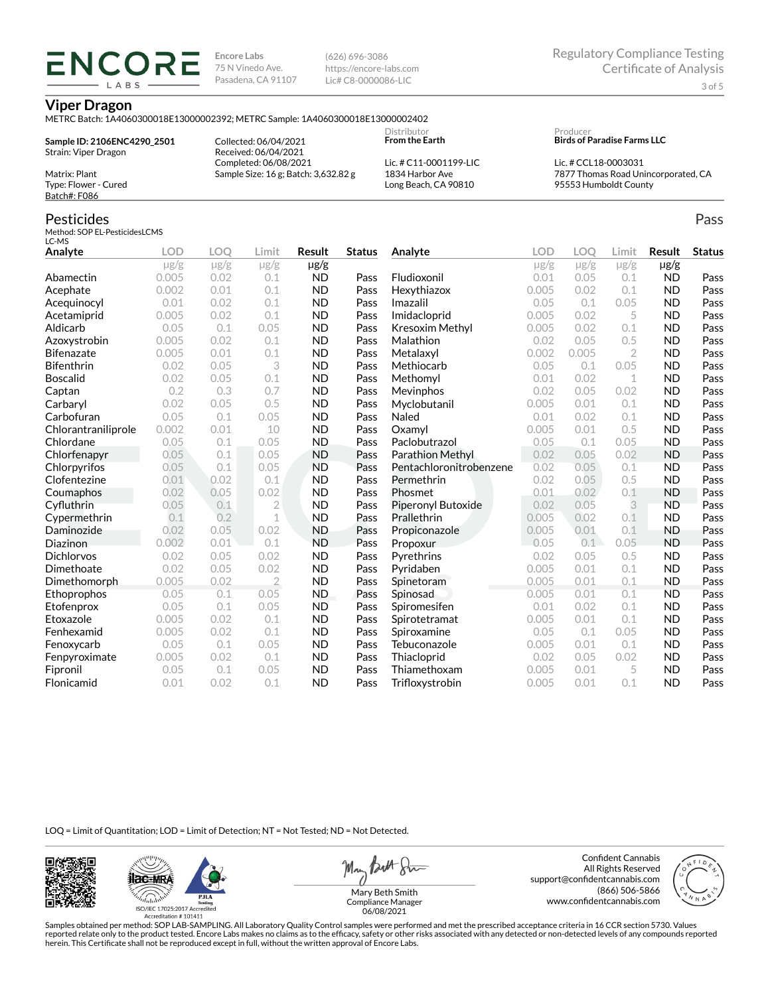(626) 696-3086 https://encore-labs.com Lic# C8-0000086-LIC

#### **Viper Dragon**

ENCOR LABS

METRC Batch: 1A4060300018E13000002392; METRC Sample: 1A4060300018E13000002402

**Sample ID: 2106ENC4290\_2501** Strain: Viper Dragon Matrix: Plant

Collected: 06/04/2021 Received: 06/04/2021 Completed: 06/08/2021 Sample Size: 16 g; Batch: 3,632.82 g

Lic. # C11-0001199-LIC 1834 Harbor Ave Long Beach, CA 90810

Distributor **From the Earth**

#### Producer **Birds of Paradise Farms LLC**

Lic. # CCL18-0003031 7877 Thomas Road Unincorporated, CA 95553 Humboldt County

## Pesticides

Type: Flower - Cured Batch#: F086

Method: SOP EL-PesticidesLCMS LC-MS

| Analyte             | <b>LOD</b> | LOO       | Limit          | Result    | <b>Status</b> | Analyte                 | LOD       | LOO       | Limit          | Result    | <b>Status</b> |
|---------------------|------------|-----------|----------------|-----------|---------------|-------------------------|-----------|-----------|----------------|-----------|---------------|
|                     | $\mu$ g/g  | $\mu$ g/g | $\mu$ g/g      | $\mu$ g/g |               |                         | $\mu$ g/g | $\mu$ g/g | $\mu$ g/g      | $\mu$ g/g |               |
| Abamectin           | 0.005      | 0.02      | 0.1            | <b>ND</b> | Pass          | Fludioxonil             | 0.01      | 0.05      | 0.1            | <b>ND</b> | Pass          |
| Acephate            | 0.002      | 0.01      | 0.1            | <b>ND</b> | Pass          | Hexythiazox             | 0.005     | 0.02      | 0.1            | <b>ND</b> | Pass          |
| Acequinocyl         | 0.01       | 0.02      | 0.1            | <b>ND</b> | Pass          | Imazalil                | 0.05      | 0.1       | 0.05           | <b>ND</b> | Pass          |
| Acetamiprid         | 0.005      | 0.02      | 0.1            | <b>ND</b> | Pass          | Imidacloprid            | 0.005     | 0.02      | 5              | <b>ND</b> | Pass          |
| Aldicarb            | 0.05       | 0.1       | 0.05           | <b>ND</b> | Pass          | Kresoxim Methyl         | 0.005     | 0.02      | 0.1            | <b>ND</b> | Pass          |
| Azoxystrobin        | 0.005      | 0.02      | 0.1            | <b>ND</b> | Pass          | Malathion               | 0.02      | 0.05      | 0.5            | <b>ND</b> | Pass          |
| <b>Bifenazate</b>   | 0.005      | 0.01      | 0.1            | <b>ND</b> | Pass          | Metalaxyl               | 0.002     | 0.005     | $\overline{2}$ | <b>ND</b> | Pass          |
| <b>Bifenthrin</b>   | 0.02       | 0.05      | 3              | <b>ND</b> | Pass          | Methiocarb              | 0.05      | 0.1       | 0.05           | <b>ND</b> | Pass          |
| <b>Boscalid</b>     | 0.02       | 0.05      | 0.1            | <b>ND</b> | Pass          | Methomyl                | 0.01      | 0.02      | 1              | <b>ND</b> | Pass          |
| Captan              | 0.2        | 0.3       | 0.7            | <b>ND</b> | Pass          | Mevinphos               | 0.02      | 0.05      | 0.02           | <b>ND</b> | Pass          |
| Carbaryl            | 0.02       | 0.05      | 0.5            | <b>ND</b> | Pass          | Myclobutanil            | 0.005     | 0.01      | 0.1            | <b>ND</b> | Pass          |
| Carbofuran          | 0.05       | 0.1       | 0.05           | <b>ND</b> | Pass          | Naled                   | 0.01      | 0.02      | 0.1            | <b>ND</b> | Pass          |
| Chlorantraniliprole | 0.002      | 0.01      | 10             | <b>ND</b> | Pass          | Oxamyl                  | 0.005     | 0.01      | 0.5            | <b>ND</b> | Pass          |
| Chlordane           | 0.05       | 0.1       | 0.05           | <b>ND</b> | Pass          | Paclobutrazol           | 0.05      | 0.1       | 0.05           | <b>ND</b> | Pass          |
| Chlorfenapyr        | 0.05       | 0.1       | 0.05           | <b>ND</b> | Pass          | <b>Parathion Methyl</b> | 0.02      | 0.05      | 0.02           | <b>ND</b> | Pass          |
| Chlorpyrifos        | 0.05       | 0.1       | 0.05           | <b>ND</b> | Pass          | Pentachloronitrobenzene | 0.02      | 0.05      | 0.1            | <b>ND</b> | Pass          |
| Clofentezine        | 0.01       | 0.02      | 0.1            | <b>ND</b> | Pass          | Permethrin              | 0.02      | 0.05      | 0.5            | <b>ND</b> | Pass          |
| Coumaphos           | 0.02       | 0.05      | 0.02           | <b>ND</b> | Pass          | Phosmet                 | 0.01      | 0.02      | 0.1            | <b>ND</b> | Pass          |
| Cyfluthrin          | 0.05       | 0.1       | $\overline{2}$ | <b>ND</b> | Pass          | Piperonyl Butoxide      | 0.02      | 0.05      | 3              | <b>ND</b> | Pass          |
| Cypermethrin        | 0.1        | 0.2       | 1              | <b>ND</b> | Pass          | Prallethrin             | 0.005     | 0.02      | 0.1            | <b>ND</b> | Pass          |
| Daminozide          | 0.02       | 0.05      | 0.02           | <b>ND</b> | Pass          | Propiconazole           | 0.005     | 0.01      | 0.1            | <b>ND</b> | Pass          |
| Diazinon            | 0.002      | 0.01      | 0.1            | <b>ND</b> | Pass          | Propoxur                | 0.05      | 0.1       | 0.05           | <b>ND</b> | Pass          |
| <b>Dichlorvos</b>   | 0.02       | 0.05      | 0.02           | <b>ND</b> | Pass          | Pyrethrins              | 0.02      | 0.05      | 0.5            | <b>ND</b> | Pass          |
| Dimethoate          | 0.02       | 0.05      | 0.02           | <b>ND</b> | Pass          | Pyridaben               | 0.005     | 0.01      | 0.1            | <b>ND</b> | Pass          |
| Dimethomorph        | 0.005      | 0.02      | $\overline{2}$ | <b>ND</b> | Pass          | Spinetoram              | 0.005     | 0.01      | 0.1            | <b>ND</b> | Pass          |
| Ethoprophos         | 0.05       | 0.1       | 0.05           | <b>ND</b> | Pass          | Spinosad                | 0.005     | 0.01      | 0.1            | <b>ND</b> | Pass          |
| Etofenprox          | 0.05       | 0.1       | 0.05           | <b>ND</b> | Pass          | Spiromesifen            | 0.01      | 0.02      | 0.1            | <b>ND</b> | Pass          |
| Etoxazole           | 0.005      | 0.02      | 0.1            | <b>ND</b> | Pass          | Spirotetramat           | 0.005     | 0.01      | 0.1            | <b>ND</b> | Pass          |
| Fenhexamid          | 0.005      | 0.02      | 0.1            | <b>ND</b> | Pass          | Spiroxamine             | 0.05      | 0.1       | 0.05           | <b>ND</b> | Pass          |
| Fenoxycarb          | 0.05       | 0.1       | 0.05           | <b>ND</b> | Pass          | Tebuconazole            | 0.005     | 0.01      | 0.1            | <b>ND</b> | Pass          |
| Fenpyroximate       | 0.005      | 0.02      | 0.1            | <b>ND</b> | Pass          | Thiacloprid             | 0.02      | 0.05      | 0.02           | <b>ND</b> | Pass          |
| Fipronil            | 0.05       | 0.1       | 0.05           | <b>ND</b> | Pass          | Thiamethoxam            | 0.005     | 0.01      | 5              | <b>ND</b> | Pass          |
| Flonicamid          | 0.01       | 0.02      | 0.1            | <b>ND</b> | Pass          | Trifloxystrobin         | 0.005     | 0.01      | 0.1            | <b>ND</b> | Pass          |

LOQ = Limit of Quantitation; LOD = Limit of Detection; NT = Not Tested; ND = Not Detected.





May Butt Sin

Confident Cannabis All Rights Reserved support@confidentcannabis.com (866) 506-5866 www.confidentcannabis.com



Mary Beth Smith Compliance Manager 06/08/2021

Samples obtained per method: SOP LAB-SAMPLING. All Laboratory Quality Control samples were performed and met the prescribed acceptance criteria in 16 CCR section 5730. Values reported relate only to the product tested. Encore Labs makes no claims as to the efficacy, safety or other risks associated with any detected or non-detected levels of any compounds reported<br>herein. This Certificate shall

Pass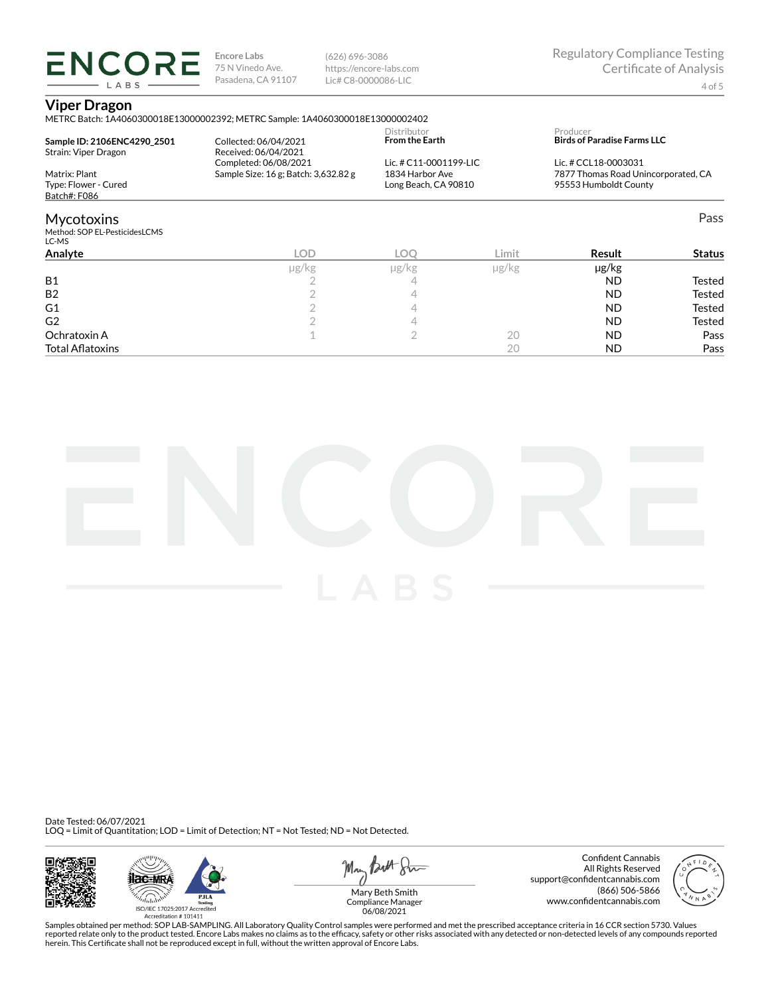(626) 696-3086 https://encore-labs.com Lic# C8-0000086-LIC

#### **Viper Dragon**

**ENCORE** LABS

METRC Batch: 1A4060300018E13000002392; METRC Sample: 1A4060300018E13000002402

| Sample ID: 2106ENC4290 2501                        | Collected: 06/04/2021                         | Distributor<br><b>From the Earth</b><br>Lic. # C11-0001199-LIC |       | Producer<br><b>Birds of Paradise Farms LLC</b><br>Lic. # CCL18-0003031 |               |  |
|----------------------------------------------------|-----------------------------------------------|----------------------------------------------------------------|-------|------------------------------------------------------------------------|---------------|--|
| Strain: Viper Dragon                               | Received: 06/04/2021<br>Completed: 06/08/2021 |                                                                |       |                                                                        |               |  |
| Matrix: Plant                                      | Sample Size: 16 g; Batch: 3,632.82 g          | 1834 Harbor Ave                                                |       | 7877 Thomas Road Unincorporated, CA                                    |               |  |
| Type: Flower - Cured                               |                                               | Long Beach, CA 90810                                           |       | 95553 Humboldt County                                                  |               |  |
| Batch#: F086                                       |                                               |                                                                |       |                                                                        |               |  |
| <b>Mycotoxins</b><br>Method: SOP EL-PesticidesLCMS |                                               |                                                                |       |                                                                        | Pass          |  |
| LC-MS                                              |                                               |                                                                |       |                                                                        |               |  |
| Analyte                                            | LOD                                           | LOO                                                            | Limit | Result                                                                 | <b>Status</b> |  |

B1 and the contract of  $\frac{2}{4}$  and  $\frac{4}{3}$  and  $\frac{8}{3}$  ND tested B2 and  $\begin{array}{ccc} & 2 & 4 & 4 \end{array}$  and  $\begin{array}{ccc} & 1 & 1 \end{array}$  and  $\begin{array}{ccc} & 2 & 4 \end{array}$  and  $\begin{array}{ccc} & & \end{array}$  and  $\begin{array}{ccc} & & \end{array}$  and  $\begin{array}{ccc} & & \end{array}$  are  $\begin{array}{ccc} & & \end{array}$  and  $\begin{array}{ccc} & & \end{array}$  and  $\begin{array}{ccc} & & \end{array}$  are  $\begin{array}{ccc} & &$ G1 2 4 ND Tested  $\begin{array}{cccccccccccccc} \textsf{G2} & & & & 2 & & & 4 & & & & & \textsf{ND} & & & \textsf{Tested} \end{array}$ Ochratoxin A  $\qquad \qquad \qquad 1$   $\qquad \qquad 2$   $\qquad \qquad 20$   $\qquad \qquad \textsf{ND}$  Pass Total Aatoxins 20 ND Pass

µg/kg µg/kg µg/kg µg/kg

Date Tested: 06/07/2021 LOQ = Limit of Quantitation; LOD = Limit of Detection; NT = Not Tested; ND = Not Detected.







Confident Cannabis All Rights Reserved support@confidentcannabis.com (866) 506-5866 www.confidentcannabis.com



Mary Beth Smith Compliance Manager 06/08/2021